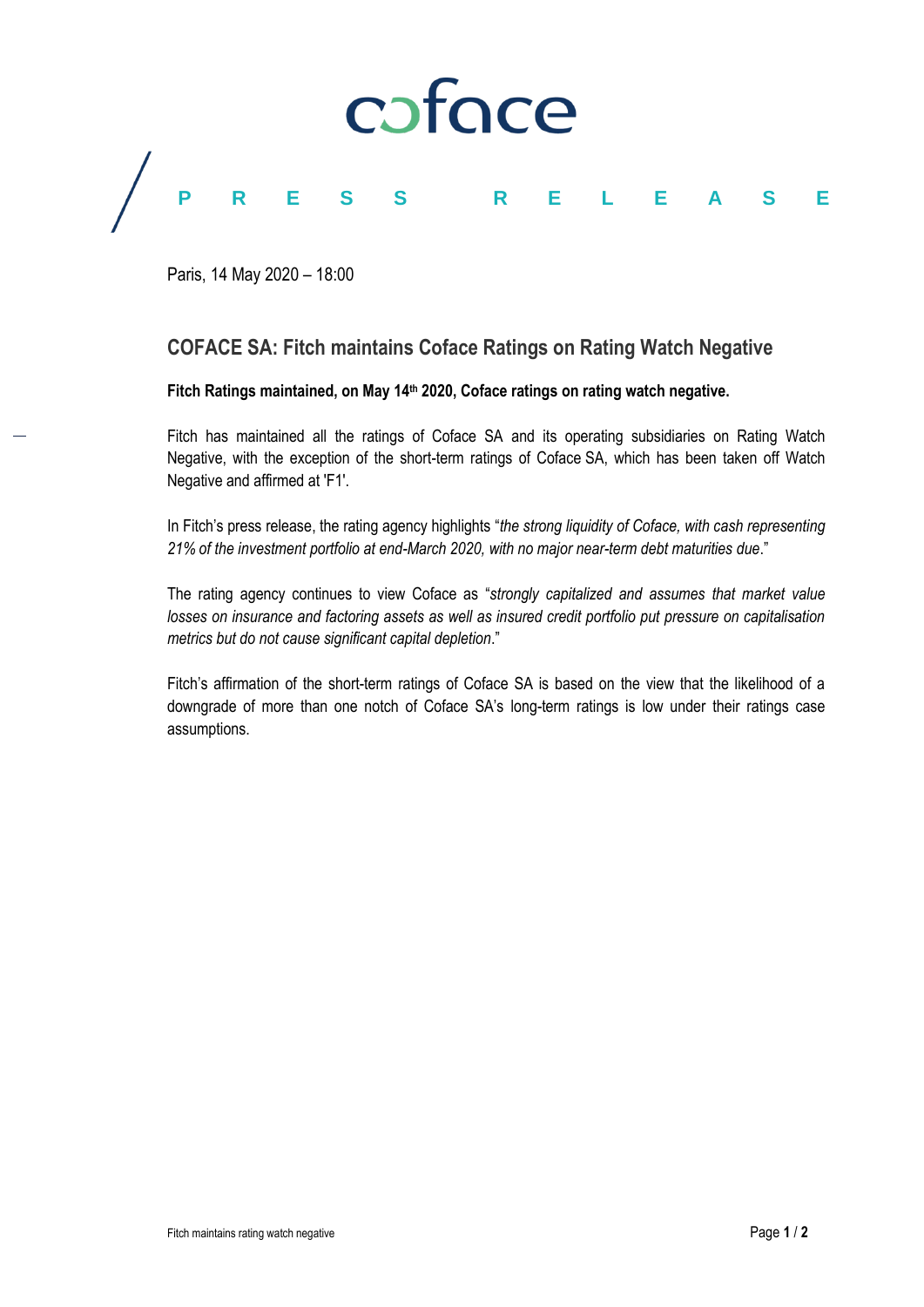

Paris, 14 May 2020 – 18:00

# **COFACE SA: Fitch maintains Coface Ratings on Rating Watch Negative**

**Fitch Ratings maintained, on May 14th 2020, Coface ratings on rating watch negative.**

Fitch has maintained all the ratings of Coface SA and its operating subsidiaries on Rating Watch Negative, with the exception of the short-term ratings of Coface SA, which has been taken off Watch Negative and affirmed at 'F1'.

In Fitch's press release, the rating agency highlights "*the strong liquidity of Coface, with cash representing 21% of the investment portfolio at end-March 2020, with no major near-term debt maturities due*."

The rating agency continues to view Coface as "*strongly capitalized and assumes that market value losses on insurance and factoring assets as well as insured credit portfolio put pressure on capitalisation metrics but do not cause significant capital depletion*."

Fitch's affirmation of the short-term ratings of Coface SA is based on the view that the likelihood of a downgrade of more than one notch of Coface SA's long-term ratings is low under their ratings case assumptions.